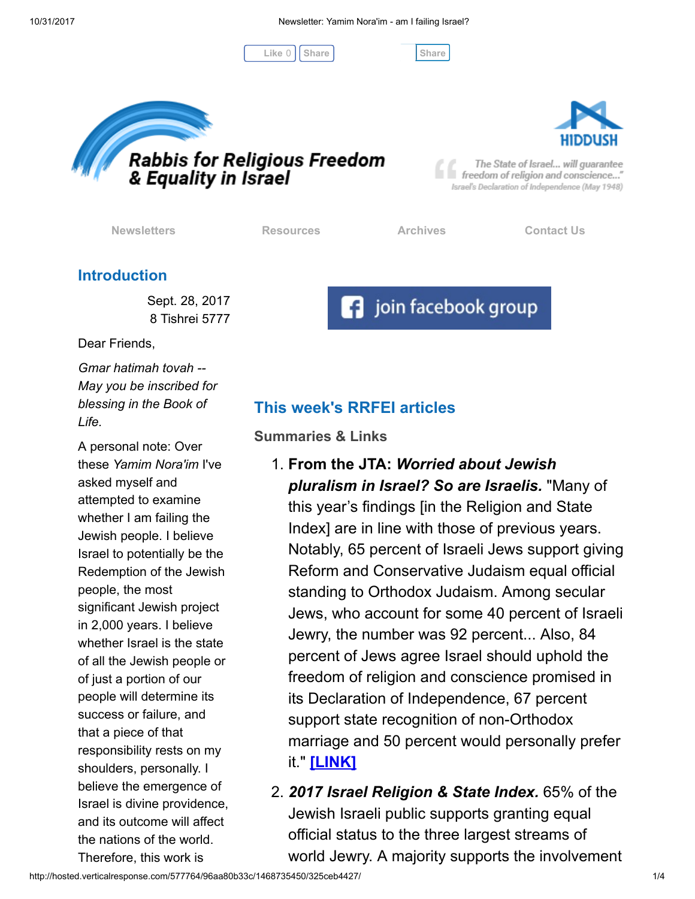Like 0 | [Share](javascript:void(0);) | Share Share





The State of Israel... will guarantee freedom of religion and conscience..." Israel's Declaration of Independence (May 1948)

[Newsletters](http://cts.vresp.com/c/?FreedomofReligionfor/96aa80b33c/325ceb4427/09b87667d8) **[Resources](http://cts.vresp.com/c/?FreedomofReligionfor/96aa80b33c/325ceb4427/44111d39a8)** [Archives](http://cts.vresp.com/c/?FreedomofReligionfor/96aa80b33c/325ceb4427/57bc624917) [Contact Us](http://cts.vresp.com/c/?FreedomofReligionfor/96aa80b33c/325ceb4427/0418e39b4b)

**f** join facebook group

## Introduction

Sept. 28, 2017 8 Tishrei 5777

Dear Friends,

Gmar hatimah tovah -- May you be inscribed for blessing in the Book of Life.

A personal note: Over these Yamim Nora'im I've asked myself and attempted to examine whether I am failing the Jewish people. I believe Israel to potentially be the Redemption of the Jewish people, the most significant Jewish project in 2,000 years. I believe whether Israel is the state of all the Jewish people or of just a portion of our people will determine its success or failure, and that a piece of that responsibility rests on my shoulders, personally. I believe the emergence of Israel is divine providence, and its outcome will affect the nations of the world. Therefore, this work is

# This week's RRFEI articles

Summaries & Links

- 1. From the JTA: Worried about Jewish pluralism in Israel? So are Israelis. "Many of this year's findings [in the Religion and State Index] are in line with those of previous years. Notably, 65 percent of Israeli Jews support giving Reform and Conservative Judaism equal official standing to Orthodox Judaism. Among secular Jews, who account for some 40 percent of Israeli Jewry, the number was 92 percent... Also, 84 percent of Jews agree Israel should uphold the freedom of religion and conscience promised in its Declaration of Independence, 67 percent support state recognition of non-Orthodox marriage and 50 percent would personally prefer it." [\[LINK\]](http://cts.vresp.com/c/?FreedomofReligionfor/96aa80b33c/325ceb4427/363e77057c)
- 2. 2017 Israel Religion & State Index. 65% of the Jewish Israeli public supports granting equal official status to the three largest streams of world Jewry. A majority supports the involvement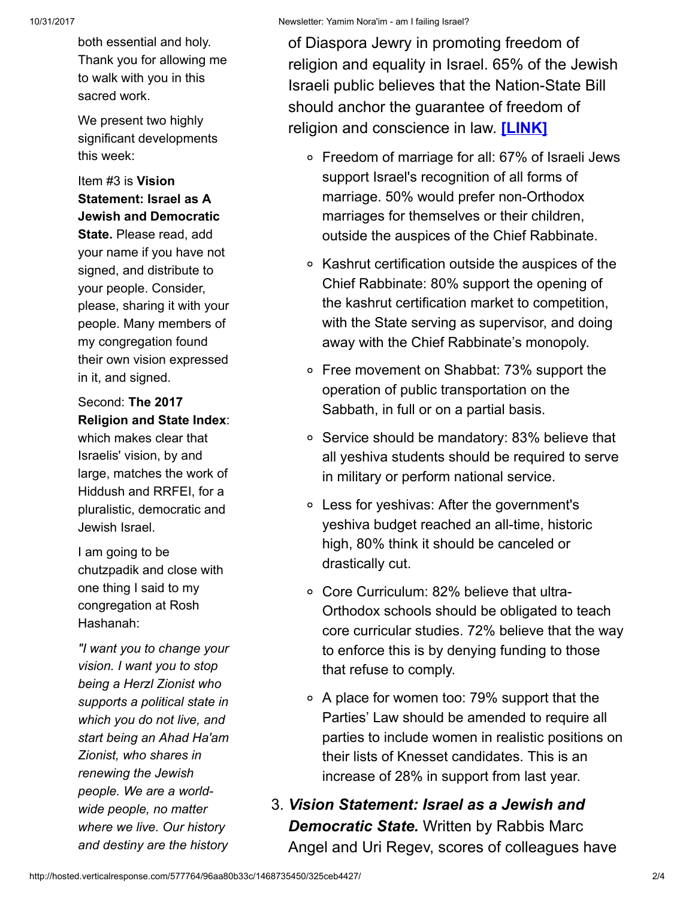both essential and holy. Thank you for allowing me to walk with you in this sacred work.

We present two highly significant developments this week:

### Item #3 is Vision Statement: Israel as A Jewish and Democratic

State. Please read, add your name if you have not signed, and distribute to your people. Consider, please, sharing it with your people. Many members of my congregation found their own vision expressed in it, and signed.

#### Second: The 2017 Religion and State Index:

which makes clear that Israelis' vision, by and large, matches the work of Hiddush and RRFEI, for a pluralistic, democratic and Jewish Israel.

I am going to be chutzpadik and close with one thing I said to my congregation at Rosh Hashanah:

"I want you to change your vision. I want you to stop being a Herzl Zionist who supports a political state in which you do not live, and start being an Ahad Ha'am Zionist, who shares in renewing the Jewish people. We are a worldwide people, no matter where we live. Our history and destiny are the history of Diaspora Jewry in promoting freedom of religion and equality in Israel. 65% of the Jewish Israeli public believes that the Nation-State Bill should anchor the guarantee of freedom of religion and conscience in law. [\[LINK\]](http://cts.vresp.com/c/?FreedomofReligionfor/96aa80b33c/325ceb4427/f1a211c14f)

- Freedom of marriage for all: 67% of Israeli Jews support Israel's recognition of all forms of marriage. 50% would prefer non-Orthodox marriages for themselves or their children, outside the auspices of the Chief Rabbinate.
- Kashrut certification outside the auspices of the Chief Rabbinate: 80% support the opening of the kashrut certification market to competition, with the State serving as supervisor, and doing away with the Chief Rabbinate's monopoly.
- Free movement on Shabbat: 73% support the operation of public transportation on the Sabbath, in full or on a partial basis.
- Service should be mandatory: 83% believe that all yeshiva students should be required to serve in military or perform national service.
- Less for yeshivas: After the government's yeshiva budget reached an all-time, historic high, 80% think it should be canceled or drastically cut.
- Core Curriculum: 82% believe that ultra-Orthodox schools should be obligated to teach core curricular studies. 72% believe that the way to enforce this is by denying funding to those that refuse to comply.
- $\circ$  A place for women too: 79% support that the Parties' Law should be amended to require all parties to include women in realistic positions on their lists of Knesset candidates. This is an increase of 28% in support from last year.
- 3. Vision Statement: Israel as a Jewish and **Democratic State.** Written by Rabbis Marc Angel and Uri Regev, scores of colleagues have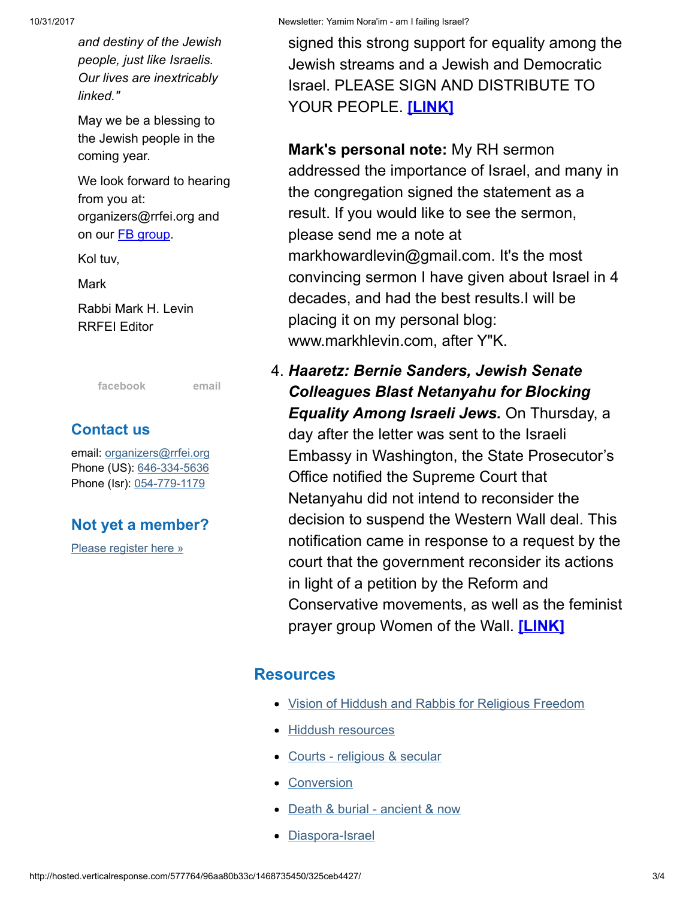and destiny of the Jewish people, just like Israelis. Our lives are inextricably linked."

May we be a blessing to the Jewish people in the coming year.

We look forward to hearing from you at: organizers@rrfei.org and on our **FB** group.

Kol tuv,

Mark

Rabbi Mark H. Levin RRFEI Editor

[facebook](http://cts.vresp.com/c/?FreedomofReligionfor/96aa80b33c/325ceb4427/3599dfc909) [email](mailto:organizers@rrfei.org)

# Contact us

email: [organizers@rrfei.org](mailto:organizers@rrfei.org) Phone (US): [646-334-5636](http://cts.vresp.com/c/?FreedomofReligionfor/96aa80b33c/325ceb4427/1d854bf5ea) Phone (Isr): [054-779-1179](http://cts.vresp.com/c/?FreedomofReligionfor/96aa80b33c/325ceb4427/1e28205c16)

# Not yet a member?

[Please register here »](http://cts.vresp.com/c/?FreedomofReligionfor/96aa80b33c/325ceb4427/d7dc75ddd5)

signed this strong support for equality among the Jewish streams and a Jewish and Democratic Israel. PLEASE SIGN AND DISTRIBUTE TO YOUR PEOPLE. [\[LINK\]](http://cts.vresp.com/c/?FreedomofReligionfor/96aa80b33c/325ceb4427/ffacb68273)

Mark's personal note: My RH sermon addressed the importance of Israel, and many in the congregation signed the statement as a result. If you would like to see the sermon, please send me a note at markhowardlevin@gmail.com. It's the most convincing sermon I have given about Israel in 4 decades, and had the best results.I will be placing it on my personal blog: www.markhlevin.com, after Y"K.

4. Haaretz: Bernie Sanders, Jewish Senate Colleagues Blast Netanyahu for Blocking Equality Among Israeli Jews. On Thursday, a day after the letter was sent to the Israeli Embassy in Washington, the State Prosecutor's Office notified the Supreme Court that Netanyahu did not intend to reconsider the decision to suspend the Western Wall deal. This notification came in response to a request by the court that the government reconsider its actions in light of a petition by the Reform and Conservative movements, as well as the feminist prayer group Women of the Wall. [\[LINK\]](http://cts.vresp.com/c/?FreedomofReligionfor/96aa80b33c/325ceb4427/7179a7e6dd)

### **Resources**

- [Vision of Hiddush and Rabbis for Religious Freedom](http://cts.vresp.com/c/?FreedomofReligionfor/96aa80b33c/325ceb4427/26c469d0f1)
- [Hiddush resources](http://cts.vresp.com/c/?FreedomofReligionfor/96aa80b33c/325ceb4427/ee2fcc485e)
- [Courts religious & secular](http://cts.vresp.com/c/?FreedomofReligionfor/96aa80b33c/325ceb4427/33db8463ae)
- [Conversion](http://cts.vresp.com/c/?FreedomofReligionfor/96aa80b33c/325ceb4427/2ce3a73f95)
- [Death & burial ancient & now](http://cts.vresp.com/c/?FreedomofReligionfor/96aa80b33c/325ceb4427/3149e62231)
- [Diaspora-Israel](http://cts.vresp.com/c/?FreedomofReligionfor/96aa80b33c/325ceb4427/b8a2dc33a0)